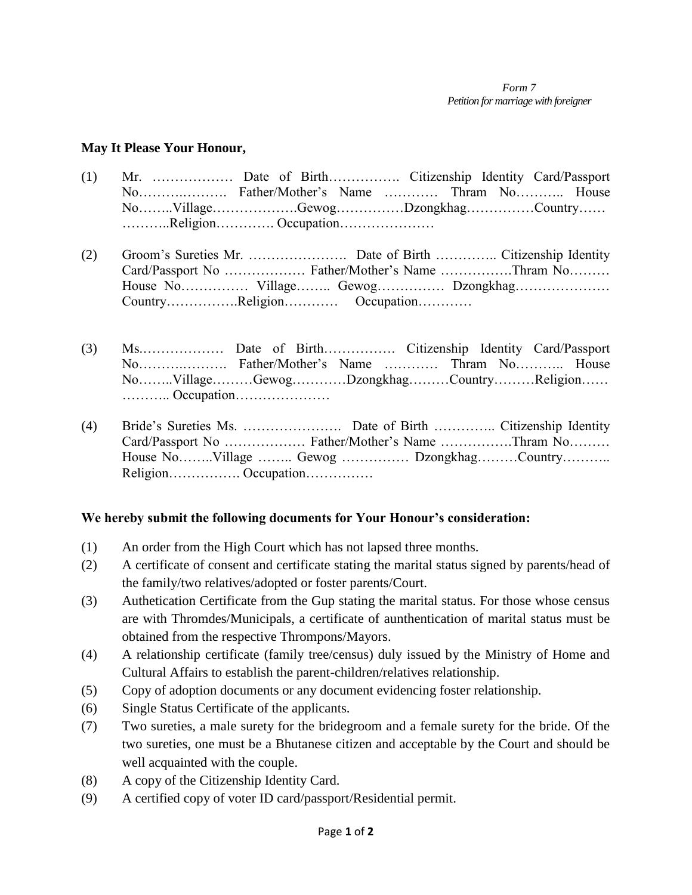## **May It Please Your Honour,**

- (1) Mr. ……………… Date of Birth……………. Citizenship Identity Card/Passport No……….………. Father/Mother's Name ………… Thram No……….. House No……..Village……………….Gewog……………Dzongkhag……………Country…… ………..Religion…………. Occupation…………………
- (2) Groom's Sureties Mr. …………………. Date of Birth ………….. Citizenship Identity Card/Passport No ……………… Father/Mother's Name …………….Thram No……… House No…………… Village…….. Gewog…………… Dzongkhag………………… Country…………….Religion………… Occupation…………
- (3) Ms.……………… Date of Birth……………. Citizenship Identity Card/Passport No……….………. Father/Mother's Name ………… Thram No……….. House No……..Village………Gewog…………Dzongkhag………Country………Religion…… ……….. Occupation…………………
- (4) Bride's Sureties Ms. …………………. Date of Birth ………….. Citizenship Identity Card/Passport No ……………… Father/Mother's Name …………….Thram No……… House No……..Village …….. Gewog …………… Dzongkhag………Country……….. Religion……………. Occupation……………

## **We hereby submit the following documents for Your Honour's consideration:**

- (1) An order from the High Court which has not lapsed three months.
- (2) A certificate of consent and certificate stating the marital status signed by parents/head of the family/two relatives/adopted or foster parents/Court.
- (3) Authetication Certificate from the Gup stating the marital status. For those whose census are with Thromdes/Municipals, a certificate of aunthentication of marital status must be obtained from the respective Thrompons/Mayors.
- (4) A relationship certificate (family tree/census) duly issued by the Ministry of Home and Cultural Affairs to establish the parent-children/relatives relationship.
- (5) Copy of adoption documents or any document evidencing foster relationship.
- (6) Single Status Certificate of the applicants.
- (7) Two sureties, a male surety for the bridegroom and a female surety for the bride. Of the two sureties, one must be a Bhutanese citizen and acceptable by the Court and should be well acquainted with the couple.
- (8) A copy of the Citizenship Identity Card.
- (9) A certified copy of voter ID card/passport/Residential permit.